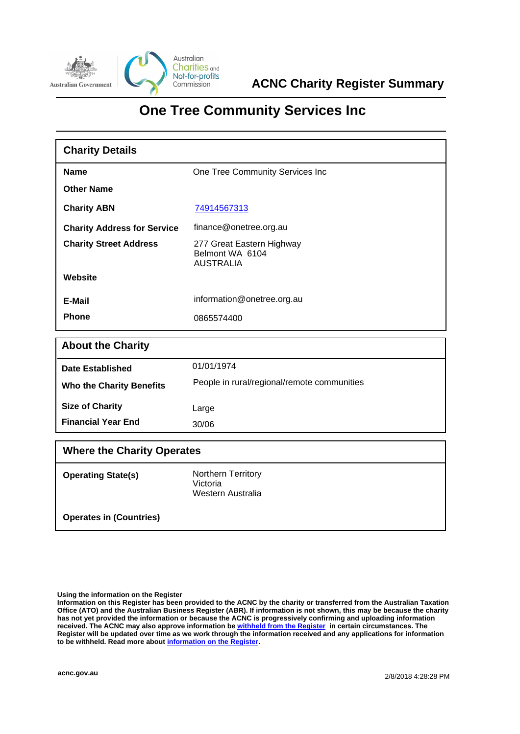

# **One Tree Community Services Inc**

| <b>Charity Details</b>             |                                                                  |  |
|------------------------------------|------------------------------------------------------------------|--|
| <b>Name</b>                        | One Tree Community Services Inc                                  |  |
| <b>Other Name</b>                  |                                                                  |  |
| <b>Charity ABN</b>                 | 74914567313                                                      |  |
| <b>Charity Address for Service</b> | finance@onetree.org.au                                           |  |
| <b>Charity Street Address</b>      | 277 Great Eastern Highway<br>Belmont WA 6104<br><b>AUSTRALIA</b> |  |
| Website                            |                                                                  |  |
| E-Mail                             | information@onetree.org.au                                       |  |
| <b>Phone</b>                       | 0865574400                                                       |  |
| <b>About the Charity</b>           |                                                                  |  |
| <b>Date Established</b>            | 01/01/1974                                                       |  |
| <b>Who the Charity Benefits</b>    | People in rural/regional/remote communities                      |  |
| <b>Size of Charity</b>             | Large                                                            |  |
| <b>Financial Year End</b>          | 30/06                                                            |  |

| <b>Where the Charity Operates</b> |                                                            |  |
|-----------------------------------|------------------------------------------------------------|--|
| <b>Operating State(s)</b>         | <b>Northern Territory</b><br>Victoria<br>Western Australia |  |
| <b>Operates in (Countries)</b>    |                                                            |  |

### **Using the information on the Register**

**Information on this Register has been provided to the ACNC by the charity or transferred from the Australian Taxation Office (ATO) and the Australian Business Register (ABR). If information is not shown, this may be because the charity has not yet provided the information or because the ACNC is progressively confirming and uploading information received. The ACNC may also approve information be [withheld from the Register](http://www.acnc.gov.au/ACNC/FindCharity/About_Register/Withheld_info/ACNC/Reg/With_info.aspx) in certain circumstances. The Register will be updated over time as we work through the information received and any applications for information to be withheld. Read more about [information on the Register.](http://www.acnc.gov.au/ACNC/FindCharity/About_Register/ACNC/Reg/Info_Reg.aspx?hkey=9497ea1e-1885-4f6f-bb73-1676e875ddbc)**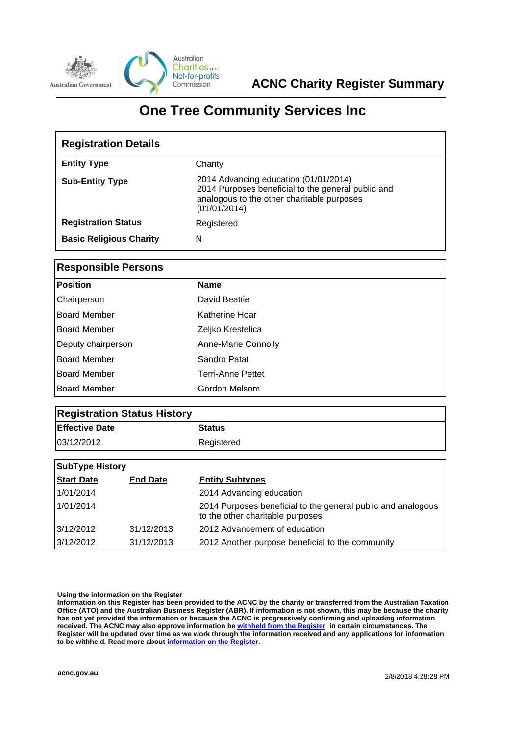

# **One Tree Community Services Inc**

| <b>Registration Details</b>    |                                                                                                                                                           |  |
|--------------------------------|-----------------------------------------------------------------------------------------------------------------------------------------------------------|--|
| <b>Entity Type</b>             | Charity                                                                                                                                                   |  |
| <b>Sub-Entity Type</b>         | 2014 Advancing education (01/01/2014)<br>2014 Purposes beneficial to the general public and<br>analogous to the other charitable purposes<br>(01/01/2014) |  |
| <b>Registration Status</b>     | Registered                                                                                                                                                |  |
| <b>Basic Religious Charity</b> | N                                                                                                                                                         |  |

## **Responsible Persons**

| <b>Position</b>     | <b>Name</b>              |
|---------------------|--------------------------|
| Chairperson         | David Beattie            |
| <b>Board Member</b> | Katherine Hoar           |
| Board Member        | Zeljko Krestelica        |
| Deputy chairperson  | Anne-Marie Connolly      |
| Board Member        | Sandro Patat             |
| Board Member        | <b>Terri-Anne Pettet</b> |
| Board Member        | Gordon Melsom            |

| <b>Registration Status History</b> |               |  |
|------------------------------------|---------------|--|
| <b>Effective Date</b>              | <b>Status</b> |  |
| 03/12/2012                         | Registered    |  |

| <b>SubType History</b> |                 |                                                                                                  |
|------------------------|-----------------|--------------------------------------------------------------------------------------------------|
| <b>Start Date</b>      | <b>End Date</b> | <b>Entity Subtypes</b>                                                                           |
| 1/01/2014              |                 | 2014 Advancing education                                                                         |
| 1/01/2014              |                 | 2014 Purposes beneficial to the general public and analogous<br>to the other charitable purposes |
| 3/12/2012              | 31/12/2013      | 2012 Advancement of education                                                                    |
| 3/12/2012              | 31/12/2013      | 2012 Another purpose beneficial to the community                                                 |

### **Using the information on the Register**

**Information on this Register has been provided to the ACNC by the charity or transferred from the Australian Taxation Office (ATO) and the Australian Business Register (ABR). If information is not shown, this may be because the charity has not yet provided the information or because the ACNC is progressively confirming and uploading information received. The ACNC may also approve information be [withheld from the Register](http://www.acnc.gov.au/ACNC/FindCharity/About_Register/Withheld_info/ACNC/Reg/With_info.aspx) in certain circumstances. The Register will be updated over time as we work through the information received and any applications for information to be withheld. Read more about [information on the Register.](http://www.acnc.gov.au/ACNC/FindCharity/About_Register/ACNC/Reg/Info_Reg.aspx?hkey=9497ea1e-1885-4f6f-bb73-1676e875ddbc)**